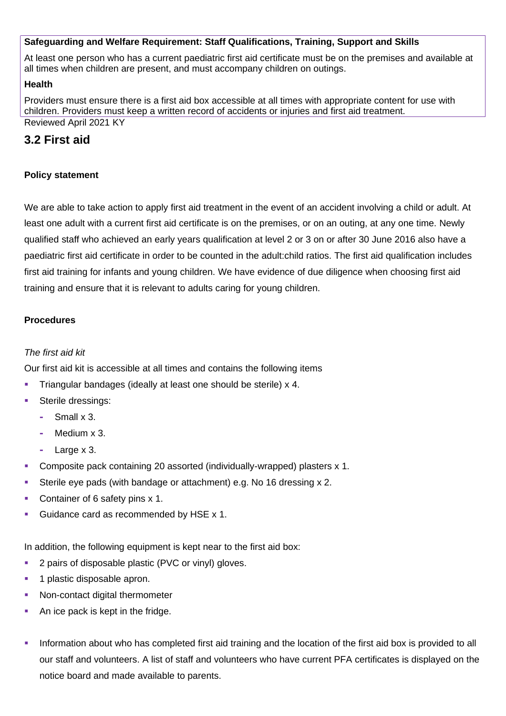# **Safeguarding and Welfare Requirement: Staff Qualifications, Training, Support and Skills**

At least one person who has a current paediatric first aid certificate must be on the premises and available at all times when children are present, and must accompany children on outings.

#### **Health**

Providers must ensure there is a first aid box accessible at all times with appropriate content for use with children. Providers must keep a written record of accidents or injuries and first aid treatment. Reviewed April 2021 KY

# **3.2 First aid**

## **Policy statement**

We are able to take action to apply first aid treatment in the event of an accident involving a child or adult. At least one adult with a current first aid certificate is on the premises, or on an outing, at any one time. Newly qualified staff who achieved an early years qualification at level 2 or 3 on or after 30 June 2016 also have a paediatric first aid certificate in order to be counted in the adult:child ratios. The first aid qualification includes first aid training for infants and young children. We have evidence of due diligence when choosing first aid training and ensure that it is relevant to adults caring for young children.

## **Procedures**

# *The first aid kit*

Our first aid kit is accessible at all times and contains the following items

- Triangular bandages (ideally at least one should be sterile) x 4.
- Sterile dressings:
	- **-** Small x 3.
	- **-** Medium x 3.
	- **-** Large x 3.
- Composite pack containing 20 assorted (individually-wrapped) plasters x 1.
- Sterile eye pads (with bandage or attachment) e.g. No 16 dressing x 2.
- Container of 6 safety pins x 1.
- Guidance card as recommended by HSE x 1.

In addition, the following equipment is kept near to the first aid box:

- **2 pairs of disposable plastic (PVC or vinyl) gloves.**
- **1** plastic disposable apron.
- Non-contact digital thermometer
- An ice pack is kept in the fridge.
- Information about who has completed first aid training and the location of the first aid box is provided to all our staff and volunteers. A list of staff and volunteers who have current PFA certificates is displayed on the notice board and made available to parents.